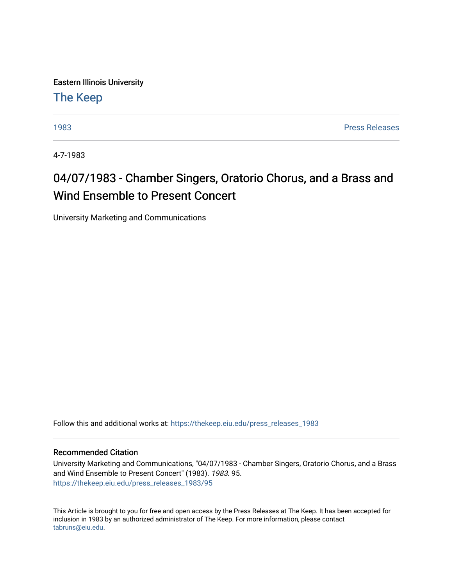Eastern Illinois University

[The Keep](https://thekeep.eiu.edu/) 

[1983](https://thekeep.eiu.edu/press_releases_1983) [Press Releases](https://thekeep.eiu.edu/press_releases_collection) 

4-7-1983

## 04/07/1983 - Chamber Singers, Oratorio Chorus, and a Brass and Wind Ensemble to Present Concert

University Marketing and Communications

Follow this and additional works at: [https://thekeep.eiu.edu/press\\_releases\\_1983](https://thekeep.eiu.edu/press_releases_1983?utm_source=thekeep.eiu.edu%2Fpress_releases_1983%2F95&utm_medium=PDF&utm_campaign=PDFCoverPages) 

## Recommended Citation

University Marketing and Communications, "04/07/1983 - Chamber Singers, Oratorio Chorus, and a Brass and Wind Ensemble to Present Concert" (1983). 1983. 95. [https://thekeep.eiu.edu/press\\_releases\\_1983/95](https://thekeep.eiu.edu/press_releases_1983/95?utm_source=thekeep.eiu.edu%2Fpress_releases_1983%2F95&utm_medium=PDF&utm_campaign=PDFCoverPages)

This Article is brought to you for free and open access by the Press Releases at The Keep. It has been accepted for inclusion in 1983 by an authorized administrator of The Keep. For more information, please contact [tabruns@eiu.edu.](mailto:tabruns@eiu.edu)